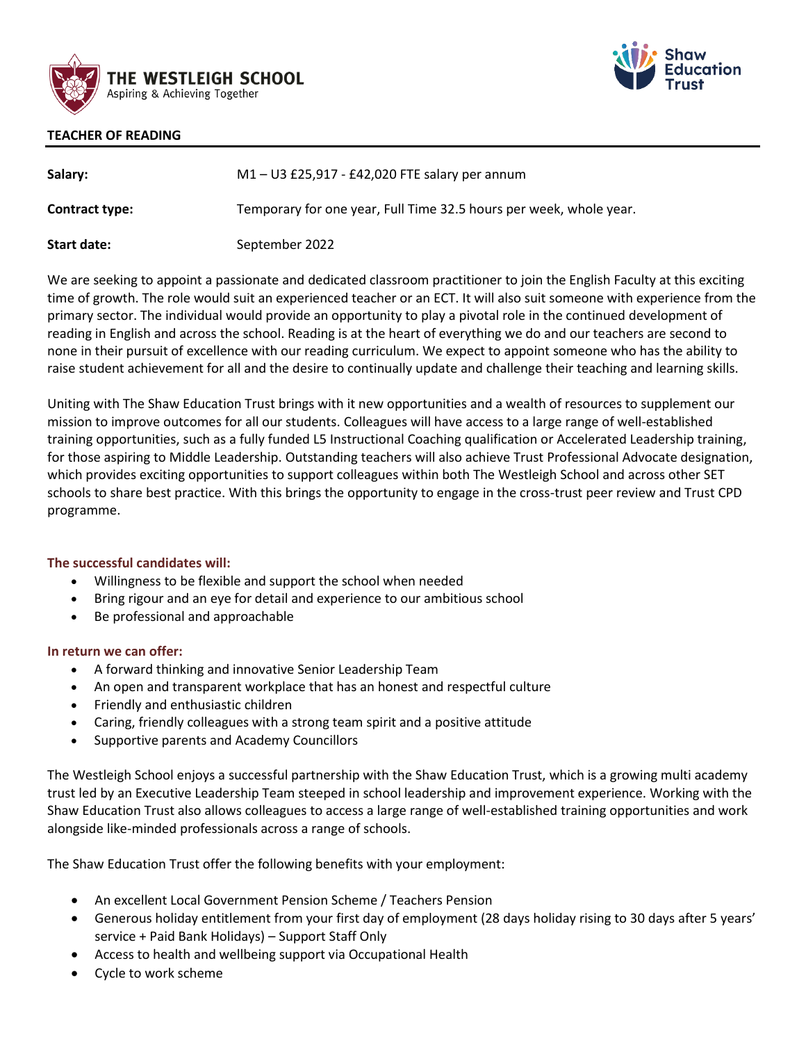



## **TEACHER OF READING**

| Salary:               | $M1 - U3$ £25,917 - £42,020 FTE salary per annum                   |
|-----------------------|--------------------------------------------------------------------|
| <b>Contract type:</b> | Temporary for one year, Full Time 32.5 hours per week, whole year. |
| Start date:           | September 2022                                                     |

We are seeking to appoint a passionate and dedicated classroom practitioner to join the English Faculty at this exciting time of growth. The role would suit an experienced teacher or an ECT. It will also suit someone with experience from the primary sector. The individual would provide an opportunity to play a pivotal role in the continued development of reading in English and across the school. Reading is at the heart of everything we do and our teachers are second to none in their pursuit of excellence with our reading curriculum. We expect to appoint someone who has the ability to raise student achievement for all and the desire to continually update and challenge their teaching and learning skills.

Uniting with The Shaw Education Trust brings with it new opportunities and a wealth of resources to supplement our mission to improve outcomes for all our students. Colleagues will have access to a large range of well-established training opportunities, such as a fully funded L5 Instructional Coaching qualification or Accelerated Leadership training, for those aspiring to Middle Leadership. Outstanding teachers will also achieve Trust Professional Advocate designation, which provides exciting opportunities to support colleagues within both The Westleigh School and across other SET schools to share best practice. With this brings the opportunity to engage in the cross-trust peer review and Trust CPD programme.

## **The successful candidates will:**

- Willingness to be flexible and support the school when needed
- Bring rigour and an eye for detail and experience to our ambitious school
- Be professional and approachable

## **In return we can offer:**

- A forward thinking and innovative Senior Leadership Team
- An open and transparent workplace that has an honest and respectful culture
- Friendly and enthusiastic children
- Caring, friendly colleagues with a strong team spirit and a positive attitude
- Supportive parents and Academy Councillors

The Westleigh School enjoys a successful partnership with the Shaw Education Trust, which is a growing multi academy trust led by an Executive Leadership Team steeped in school leadership and improvement experience. Working with the Shaw Education Trust also allows colleagues to access a large range of well-established training opportunities and work alongside like-minded professionals across a range of schools.

The Shaw Education Trust offer the following benefits with your employment:

- An excellent Local Government Pension Scheme / Teachers Pension
- Generous holiday entitlement from your first day of employment (28 days holiday rising to 30 days after 5 years' service + Paid Bank Holidays) – Support Staff Only
- Access to health and wellbeing support via Occupational Health
- Cycle to work scheme